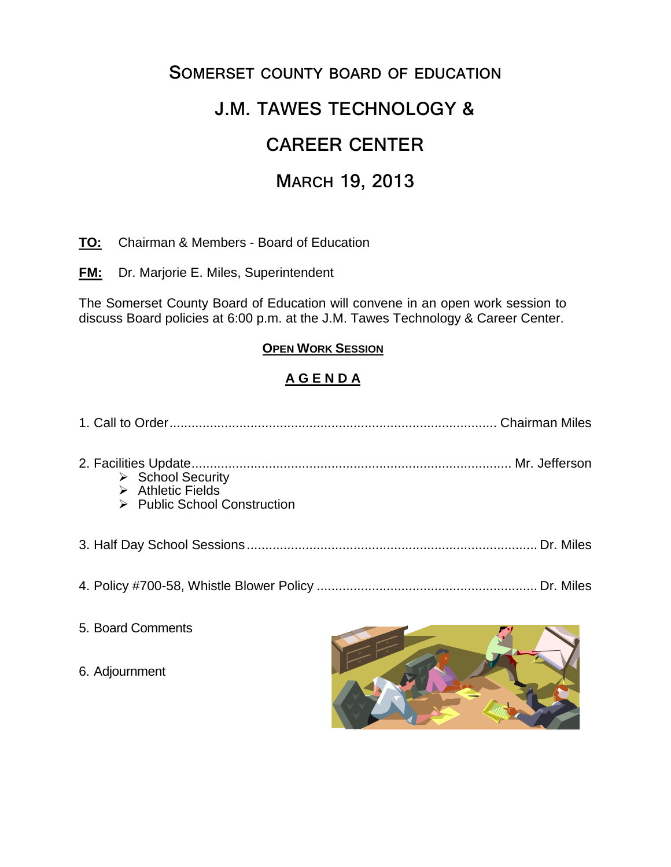## **SOMERSET COUNTY BOARD OF EDUCATION**

# **J.M. TAWES TECHNOLOGY &**

# **CAREER CENTER**

## **MARCH 19, 2013**

### **TO:** Chairman & Members - Board of Education

**FM:** Dr. Marjorie E. Miles, Superintendent

The Somerset County Board of Education will convene in an open work session to discuss Board policies at 6:00 p.m. at the J.M. Tawes Technology & Career Center.

### **OPEN WORK SESSION**

## **A G E N D A**

| $\triangleright$ School Security<br>$\triangleright$ Athletic Fields<br>$\triangleright$ Public School Construction |  |
|---------------------------------------------------------------------------------------------------------------------|--|
|                                                                                                                     |  |
|                                                                                                                     |  |
|                                                                                                                     |  |

- 5. Board Comments
- 6. Adjournment

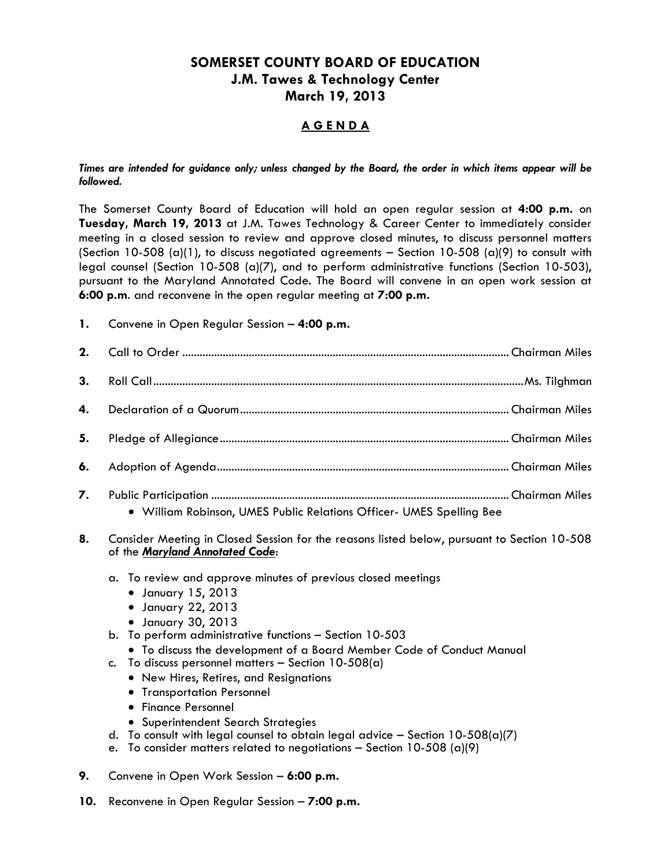## **SOMERSET COUNTY BOARD OF EDUCATION J.M. Tawes & Technology Center March 19, 2013**

### **A G E N D A**

#### *Times are intended for guidance only; unless changed by the Board, the order in which items appear will be followed.*

The Somerset County Board of Education will hold an open regular session at **4:00 p.m.** on **Tuesday, March 19, 2013** at J.M. Tawes Technology & Career Center to immediately consider meeting in a closed session to review and approve closed minutes, to discuss personnel matters (Section 10-508 (a)(1), to discuss negotiated agreements – Section 10-508 (a)(9) to consult with legal counsel (Section 10-508 (a)(7), and to perform administrative functions (Section 10-503), pursuant to the Maryland Annotated Code. The Board will convene in an open work session at **6:00 p.m**. and reconvene in the open regular meeting at **7:00 p.m.**

**1.** Convene in Open Regular Session – **4:00 p.m.**

| 5. |                                                                      |  |
|----|----------------------------------------------------------------------|--|
|    |                                                                      |  |
|    | · William Robinson, UMES Public Relations Officer- UMES Spelling Bee |  |

- 
- **8.** Consider Meeting in Closed Session for the reasons listed below, pursuant to Section 10-508 of the *Maryland Annotated Code*:
	- a. To review and approve minutes of previous closed meetings
		- January 15, 2013
		- January 22, 2013
		- January 30, 2013
	- b. To perform administrative functions Section 10-503
		- To discuss the development of a Board Member Code of Conduct Manual
	- c. To discuss personnel matters  $-$  Section 10-508(a)
		- New Hires, Retires, and Resignations
		- **•** Transportation Personnel
		- Finance Personnel
		- Superintendent Search Strategies
	- d. To consult with legal counsel to obtain legal advice  $-$  Section 10-508(a)(7)
	- e. To consider matters related to negotiations Section 10-508 (a)(9)
- **9.** Convene in Open Work Session **6:00 p.m.**
- **10.** Reconvene in Open Regular Session **7:00 p.m.**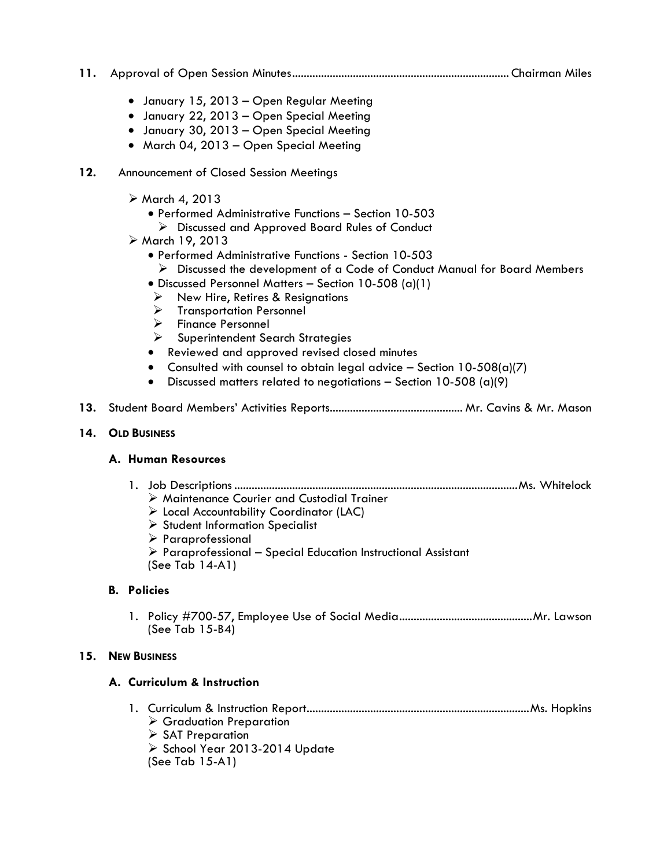- **11.** Approval of Open Session Minutes........................................................................... Chairman Miles
	- January 15, 2013 Open Regular Meeting
	- January 22, 2013 Open Special Meeting
	- January 30, 2013 Open Special Meeting
	- March 04, 2013 Open Special Meeting
- **12.** Announcement of Closed Session Meetings
	- $\triangleright$  March 4, 2013
		- Performed Administrative Functions Section 10-503
			- Discussed and Approved Board Rules of Conduct
	- March 19, 2013
		- Performed Administrative Functions Section 10-503
		- $\triangleright$  Discussed the development of a Code of Conduct Manual for Board Members
		- Discussed Personnel Matters Section 10-508 (a)(1)
		- $\triangleright$  New Hire, Retires & Resignations
		- $\triangleright$  Transportation Personnel
		- > Finance Personnel
		- Superintendent Search Strategies
		- Reviewed and approved revised closed minutes
		- Consulted with counsel to obtain legal advice  $-$  Section 10-508(a)(7)
		- $\bullet$  Discussed matters related to negotiations Section 10-508 (a)(9)
- **13.** Student Board Members' Activities Reports.............................................. Mr. Cavins & Mr. Mason

#### **14. OLD BUSINESS**

#### **A. Human Resources**

- 1. Job Descriptions ..................................................................................................Ms. Whitelock Maintenance Courier and Custodial Trainer
	- Local Accountability Coordinator (LAC)
	- $\triangleright$  Student Information Specialist
	- $\triangleright$  Paraprofessional
	- $\triangleright$  Paraprofessional Special Education Instructional Assistant
	- (See Tab 14-A1)

#### **B. Policies**

1. Policy #700-57, Employee Use of Social Media..............................................Mr. Lawson (See Tab 15-B4)

#### **15. NEW BUSINESS**

#### **A. Curriculum & Instruction**

- 1. Curriculum & Instruction Report.............................................................................Ms. Hopkins Graduation Preparation
	- $\triangleright$  SAT Preparation
	- $\triangleright$  School Year 2013-2014 Update
	- (See Tab 15-A1)